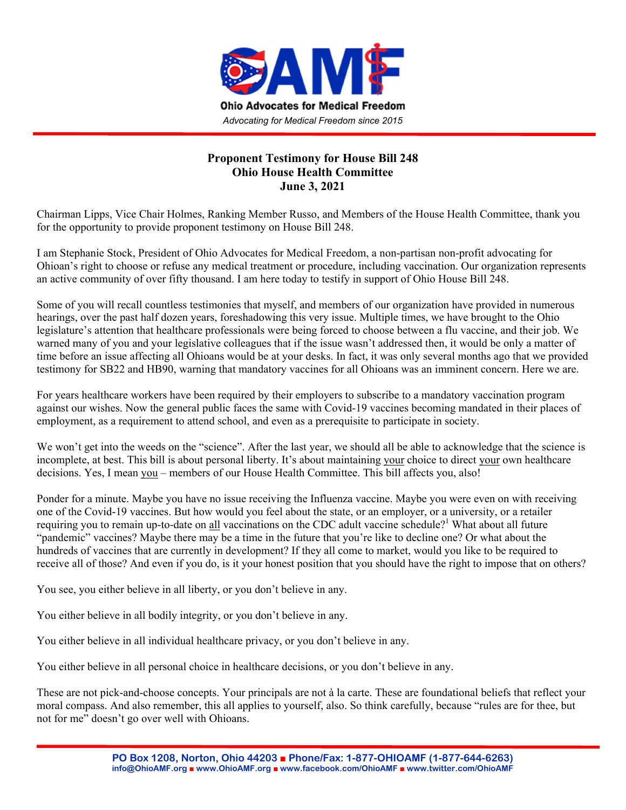

## **Proponent Testimony for House Bill 248 Ohio House Health Committee June 3, 2021**

Chairman Lipps, Vice Chair Holmes, Ranking Member Russo, and Members of the House Health Committee, thank you for the opportunity to provide proponent testimony on House Bill 248.

I am Stephanie Stock, President of Ohio Advocates for Medical Freedom, a non-partisan non-profit advocating for Ohioan's right to choose or refuse any medical treatment or procedure, including vaccination. Our organization represents an active community of over fifty thousand. I am here today to testify in support of Ohio House Bill 248.

Some of you will recall countless testimonies that myself, and members of our organization have provided in numerous hearings, over the past half dozen years, foreshadowing this very issue. Multiple times, we have brought to the Ohio legislature's attention that healthcare professionals were being forced to choose between a flu vaccine, and their job. We warned many of you and your legislative colleagues that if the issue wasn't addressed then, it would be only a matter of time before an issue affecting all Ohioans would be at your desks. In fact, it was only several months ago that we provided testimony for SB22 and HB90, warning that mandatory vaccines for all Ohioans was an imminent concern. Here we are.

For years healthcare workers have been required by their employers to subscribe to a mandatory vaccination program against our wishes. Now the general public faces the same with Covid-19 vaccines becoming mandated in their places of employment, as a requirement to attend school, and even as a prerequisite to participate in society.

We won't get into the weeds on the "science". After the last year, we should all be able to acknowledge that the science is incomplete, at best. This bill is about personal liberty. It's about maintaining your choice to direct your own healthcare decisions. Yes, I mean you – members of our House Health Committee. This bill affects you, also!

Ponder for a minute. Maybe you have no issue receiving the Influenza vaccine. Maybe you were even on with receiving one of the Covid-19 vaccines. But how would you feel about the state, or an employer, or a university, or a retailer requiring you to remain up-to-date on all vaccinations on the CDC adult vaccine schedule?<sup>1</sup> What about all future "pandemic" vaccines? Maybe there may be a time in the future that you're like to decline one? Or what about the hundreds of vaccines that are currently in development? If they all come to market, would you like to be required to receive all of those? And even if you do, is it your honest position that you should have the right to impose that on others?

You see, you either believe in all liberty, or you don't believe in any.

You either believe in all bodily integrity, or you don't believe in any.

You either believe in all individual healthcare privacy, or you don't believe in any.

You either believe in all personal choice in healthcare decisions, or you don't believe in any.

These are not pick-and-choose concepts. Your principals are not à la carte. These are foundational beliefs that reflect your moral compass. And also remember, this all applies to yourself, also. So think carefully, because "rules are for thee, but not for me" doesn't go over well with Ohioans.